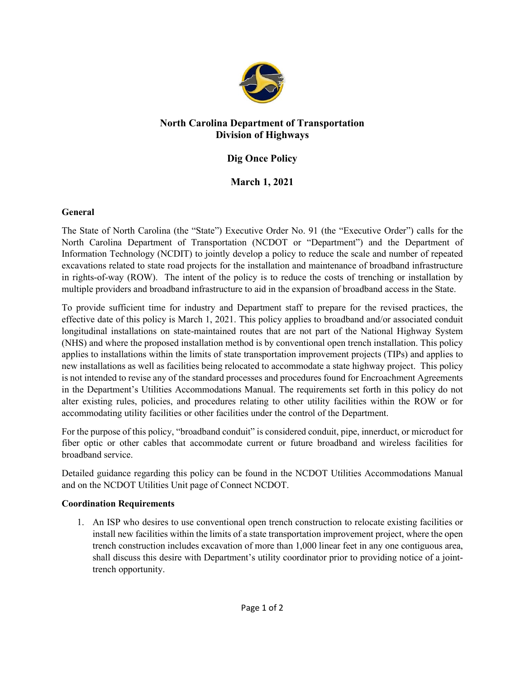

### **North Carolina Department of Transportation Division of Highways**

## **Dig Once Policy**

# **March 1, 2021**

#### **General**

The State of North Carolina (the "State") Executive Order No. 91 (the "Executive Order") calls for the North Carolina Department of Transportation (NCDOT or "Department") and the Department of Information Technology (NCDIT) to jointly develop a policy to reduce the scale and number of repeated excavations related to state road projects for the installation and maintenance of broadband infrastructure in rights-of-way (ROW). The intent of the policy is to reduce the costs of trenching or installation by multiple providers and broadband infrastructure to aid in the expansion of broadband access in the State.

To provide sufficient time for industry and Department staff to prepare for the revised practices, the effective date of this policy is March 1, 2021. This policy applies to broadband and/or associated conduit longitudinal installations on state-maintained routes that are not part of the National Highway System (NHS) and where the proposed installation method is by conventional open trench installation. This policy applies to installations within the limits of state transportation improvement projects (TIPs) and applies to new installations as well as facilities being relocated to accommodate a state highway project. This policy is not intended to revise any of the standard processes and procedures found for Encroachment Agreements in the Department's Utilities Accommodations Manual. The requirements set forth in this policy do not alter existing rules, policies, and procedures relating to other utility facilities within the ROW or for accommodating utility facilities or other facilities under the control of the Department.

For the purpose of this policy, "broadband conduit" is considered conduit, pipe, innerduct, or microduct for fiber optic or other cables that accommodate current or future broadband and wireless facilities for broadband service.

Detailed guidance regarding this policy can be found in the NCDOT Utilities Accommodations Manual and on the NCDOT Utilities Unit page of Connect NCDOT.

#### **Coordination Requirements**

1. An ISP who desires to use conventional open trench construction to relocate existing facilities or install new facilities within the limits of a state transportation improvement project, where the open trench construction includes excavation of more than 1,000 linear feet in any one contiguous area, shall discuss this desire with Department's utility coordinator prior to providing notice of a jointtrench opportunity.